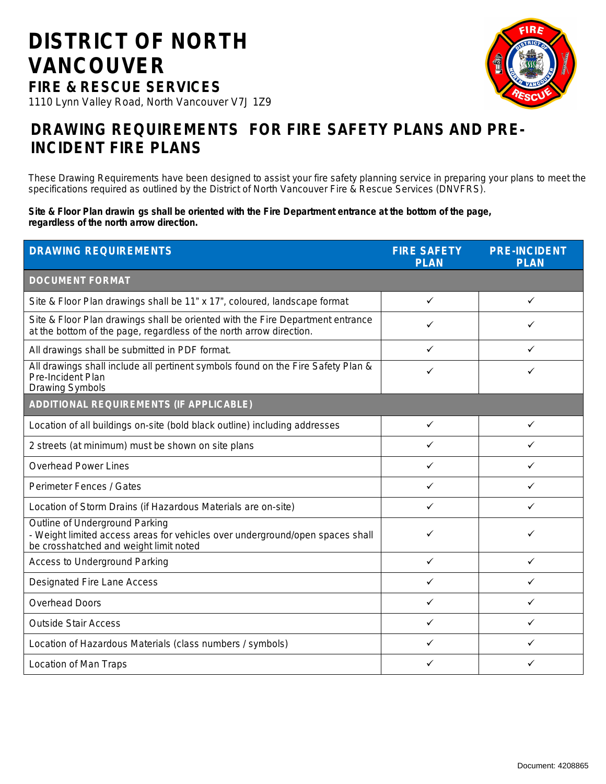# **DISTRICT OF NORTH VANCOUVER FIRE & RESCUE SERVICES**



## 1110 Lynn Valley Road, North Vancouver V7J 1Z9

## **DRAWING REQUIREMENTS FOR FIRE SAFETY PLANS AND PRE-INCIDENT FIRE PLANS**

These Drawing Requirements have been designed to assist your fire safety planning service in preparing your plans to meet the specifications required as outlined by the District of North Vancouver Fire & Rescue Services (DNVFRS).

#### **Site & Floor Plan drawin gs shall be oriented with the Fire Department entrance at the bottom of the page, regardless of the north arrow direction.**

| <b>DRAWING REQUIREMENTS</b>                                                                                                                               | <b>FIRE SAFETY</b><br><b>PLAN</b> | <b>PRE-INCIDENT</b><br><b>PLAN</b> |
|-----------------------------------------------------------------------------------------------------------------------------------------------------------|-----------------------------------|------------------------------------|
| <b>DOCUMENT FORMAT</b>                                                                                                                                    |                                   |                                    |
| Site & Floor Plan drawings shall be 11" x 17", coloured, landscape format                                                                                 | $\checkmark$                      | ✓                                  |
| Site & Floor Plan drawings shall be oriented with the Fire Department entrance<br>at the bottom of the page, regardless of the north arrow direction.     | ✓                                 | ✓                                  |
| All drawings shall be submitted in PDF format.                                                                                                            | ✓                                 | ✓                                  |
| All drawings shall include all pertinent symbols found on the Fire Safety Plan &<br>Pre-Incident Plan<br>Drawing Symbols                                  | ✓                                 | ✓                                  |
| <b>ADDITIONAL REQUIREMENTS (IF APPLICABLE)</b>                                                                                                            |                                   |                                    |
| Location of all buildings on-site (bold black outline) including addresses                                                                                | $\checkmark$                      | $\checkmark$                       |
| 2 streets (at minimum) must be shown on site plans                                                                                                        | ✓                                 | ✓                                  |
| <b>Overhead Power Lines</b>                                                                                                                               | ✓                                 | ✓                                  |
| Perimeter Fences / Gates                                                                                                                                  | $\checkmark$                      | ✓                                  |
| Location of Storm Drains (if Hazardous Materials are on-site)                                                                                             | $\checkmark$                      | $\checkmark$                       |
| Outline of Underground Parking<br>- Weight limited access areas for vehicles over underground/open spaces shall<br>be crosshatched and weight limit noted | ✓                                 | ✓                                  |
| <b>Access to Underground Parking</b>                                                                                                                      | ✓                                 | ✓                                  |
| Designated Fire Lane Access                                                                                                                               | ✓                                 | ✓                                  |
| Overhead Doors                                                                                                                                            | ✓                                 | ✓                                  |
| <b>Outside Stair Access</b>                                                                                                                               | $\checkmark$                      | $\checkmark$                       |
| Location of Hazardous Materials (class numbers / symbols)                                                                                                 | ✓                                 | ✓                                  |
| Location of Man Traps                                                                                                                                     | ✓                                 | ✓                                  |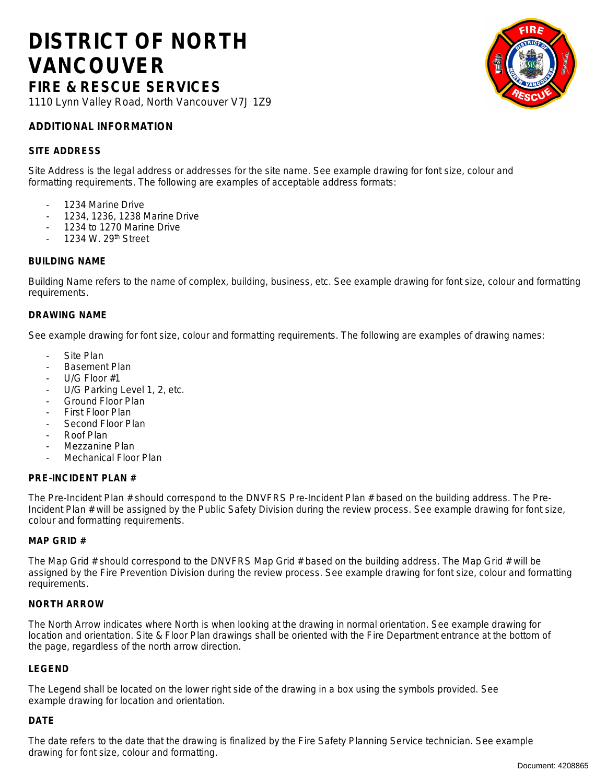## **DISTRICT OF NORTH VANCOUVER FIRE & RESCUE SERVICES**

1110 Lynn Valley Road, North Vancouver V7J 1Z9

### **ADDITIONAL INFORMATION**

#### **SITE ADDRESS**

Site Address is the legal address or addresses for the site name. See example drawing for font size, colour and formatting requirements. The following are examples of acceptable address formats:

- 1234 Marine Drive
- 1234, 1236, 1238 Marine Drive
- 1234 to 1270 Marine Drive
- 1234 W. 29th Street

#### **BUILDING NAME**

Building Name refers to the name of complex, building, business, etc. See example drawing for font size, colour and formatting requirements.

#### **DRAWING NAME**

See example drawing for font size, colour and formatting requirements. The following are examples of drawing names:

- Site Plan
- Basement Plan
- $-U/G$  Floor  $#1$
- U/G Parking Level 1, 2, etc.
- Ground Floor Plan
- First Floor Plan
- Second Floor Plan
- Roof Plan
- Mezzanine Plan
- Mechanical Floor Plan

#### **PRE-INCIDENT PLAN #**

The Pre-Incident Plan # should correspond to the DNVFRS Pre-Incident Plan # based on the building address. The Pre-Incident Plan # will be assigned by the Public Safety Division during the review process. See example drawing for font size, colour and formatting requirements.

#### **MAP GRID #**

The Map Grid # should correspond to the DNVFRS Map Grid # based on the building address. The Map Grid # will be assigned by the Fire Prevention Division during the review process. See example drawing for font size, colour and formatting requirements.

#### **NORTH ARROW**

The North Arrow indicates where North is when looking at the drawing in normal orientation. See example drawing for location and orientation. Site & Floor Plan drawings shall be oriented with the Fire Department entrance at the bottom of the page, regardless of the north arrow direction.

#### **LEGEND**

The Legend shall be located on the lower right side of the drawing in a box using the symbols provided. See example drawing for location and orientation.

#### **DATE**

The date refers to the date that the drawing is finalized by the Fire Safety Planning Service technician. See example drawing for font size, colour and formatting.